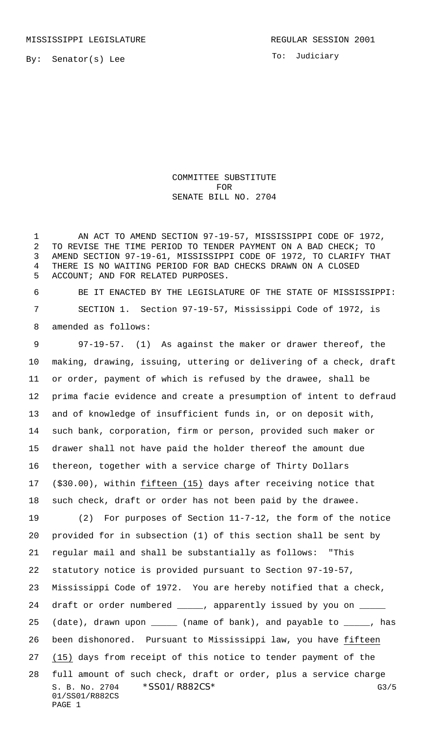To: Judiciary

COMMITTEE SUBSTITUTE FOR SENATE BILL NO. 2704

 AN ACT TO AMEND SECTION 97-19-57, MISSISSIPPI CODE OF 1972, TO REVISE THE TIME PERIOD TO TENDER PAYMENT ON A BAD CHECK; TO AMEND SECTION 97-19-61, MISSISSIPPI CODE OF 1972, TO CLARIFY THAT THERE IS NO WAITING PERIOD FOR BAD CHECKS DRAWN ON A CLOSED ACCOUNT; AND FOR RELATED PURPOSES.

 BE IT ENACTED BY THE LEGISLATURE OF THE STATE OF MISSISSIPPI: SECTION 1. Section 97-19-57, Mississippi Code of 1972, is amended as follows:

 97-19-57. (1) As against the maker or drawer thereof, the making, drawing, issuing, uttering or delivering of a check, draft or order, payment of which is refused by the drawee, shall be prima facie evidence and create a presumption of intent to defraud and of knowledge of insufficient funds in, or on deposit with, such bank, corporation, firm or person, provided such maker or drawer shall not have paid the holder thereof the amount due thereon, together with a service charge of Thirty Dollars (\$30.00), within fifteen (15) days after receiving notice that such check, draft or order has not been paid by the drawee. (2) For purposes of Section 11-7-12, the form of the notice provided for in subsection (1) of this section shall be sent by regular mail and shall be substantially as follows: "This statutory notice is provided pursuant to Section 97-19-57,

Mississippi Code of 1972. You are hereby notified that a check,

24 draft or order numbered \_\_\_\_\_, apparently issued by you on \_ 25 (date), drawn upon \_\_\_\_\_ (name of bank), and payable to \_\_\_\_\_, has been dishonored. Pursuant to Mississippi law, you have fifteen (15) days from receipt of this notice to tender payment of the

S. B. No. 2704 \* SSO1/R882CS\* G3/5 01/SS01/R882CS PAGE 1 full amount of such check, draft or order, plus a service charge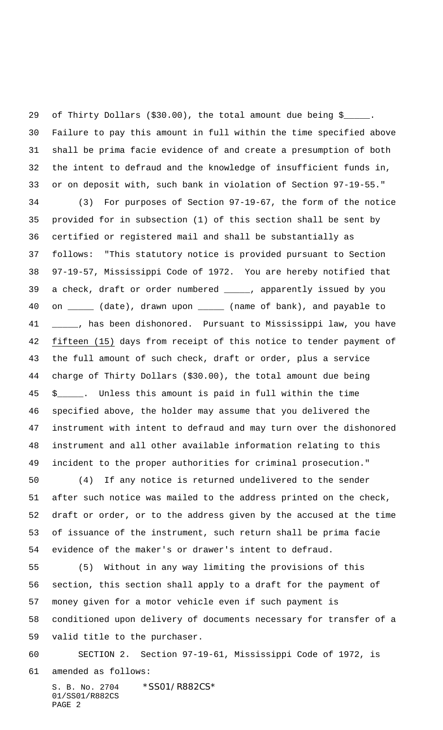of Thirty Dollars (\$30.00), the total amount due being \$\_\_\_\_\_. Failure to pay this amount in full within the time specified above shall be prima facie evidence of and create a presumption of both the intent to defraud and the knowledge of insufficient funds in, or on deposit with, such bank in violation of Section 97-19-55."

 (3) For purposes of Section 97-19-67, the form of the notice provided for in subsection (1) of this section shall be sent by certified or registered mail and shall be substantially as follows: "This statutory notice is provided pursuant to Section 97-19-57, Mississippi Code of 1972. You are hereby notified that a check, draft or order numbered \_\_\_\_\_, apparently issued by you 40 on \_\_\_\_\_ (date), drawn upon \_\_\_\_\_ (name of bank), and payable to 41 \_\_\_\_, has been dishonored. Pursuant to Mississippi law, you have fifteen (15) days from receipt of this notice to tender payment of the full amount of such check, draft or order, plus a service charge of Thirty Dollars (\$30.00), the total amount due being \$\_\_\_\_\_. Unless this amount is paid in full within the time specified above, the holder may assume that you delivered the instrument with intent to defraud and may turn over the dishonored instrument and all other available information relating to this incident to the proper authorities for criminal prosecution."

 (4) If any notice is returned undelivered to the sender after such notice was mailed to the address printed on the check, draft or order, or to the address given by the accused at the time of issuance of the instrument, such return shall be prima facie evidence of the maker's or drawer's intent to defraud.

 (5) Without in any way limiting the provisions of this section, this section shall apply to a draft for the payment of money given for a motor vehicle even if such payment is conditioned upon delivery of documents necessary for transfer of a valid title to the purchaser.

SECTION 2. Section 97-19-61, Mississippi Code of 1972, is

amended as follows:

S. B. No. 2704 \*SS01/R882CS\* 01/SS01/R882CS PAGE 2